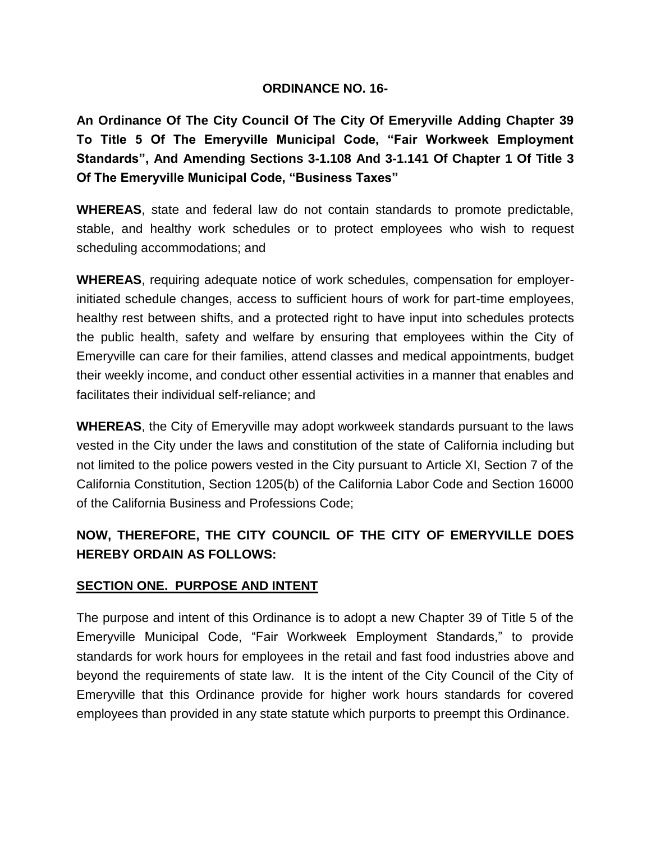#### **ORDINANCE NO. 16-**

**An Ordinance Of The City Council Of The City Of Emeryville Adding Chapter 39 To Title 5 Of The Emeryville Municipal Code, "Fair Workweek Employment Standards", And Amending Sections 3-1.108 And 3-1.141 Of Chapter 1 Of Title 3 Of The Emeryville Municipal Code, "Business Taxes"**

**WHEREAS**, state and federal law do not contain standards to promote predictable, stable, and healthy work schedules or to protect employees who wish to request scheduling accommodations; and

**WHEREAS**, requiring adequate notice of work schedules, compensation for employerinitiated schedule changes, access to sufficient hours of work for part-time employees, healthy rest between shifts, and a protected right to have input into schedules protects the public health, safety and welfare by ensuring that employees within the City of Emeryville can care for their families, attend classes and medical appointments, budget their weekly income, and conduct other essential activities in a manner that enables and facilitates their individual self-reliance; and

**WHEREAS**, the City of Emeryville may adopt workweek standards pursuant to the laws vested in the City under the laws and constitution of the state of California including but not limited to the police powers vested in the City pursuant to Article XI, Section 7 of the California Constitution, Section 1205(b) of the California Labor Code and Section 16000 of the California Business and Professions Code;

# **NOW, THEREFORE, THE CITY COUNCIL OF THE CITY OF EMERYVILLE DOES HEREBY ORDAIN AS FOLLOWS:**

## **SECTION ONE. PURPOSE AND INTENT**

The purpose and intent of this Ordinance is to adopt a new Chapter 39 of Title 5 of the Emeryville Municipal Code, "Fair Workweek Employment Standards," to provide standards for work hours for employees in the retail and fast food industries above and beyond the requirements of state law. It is the intent of the City Council of the City of Emeryville that this Ordinance provide for higher work hours standards for covered employees than provided in any state statute which purports to preempt this Ordinance.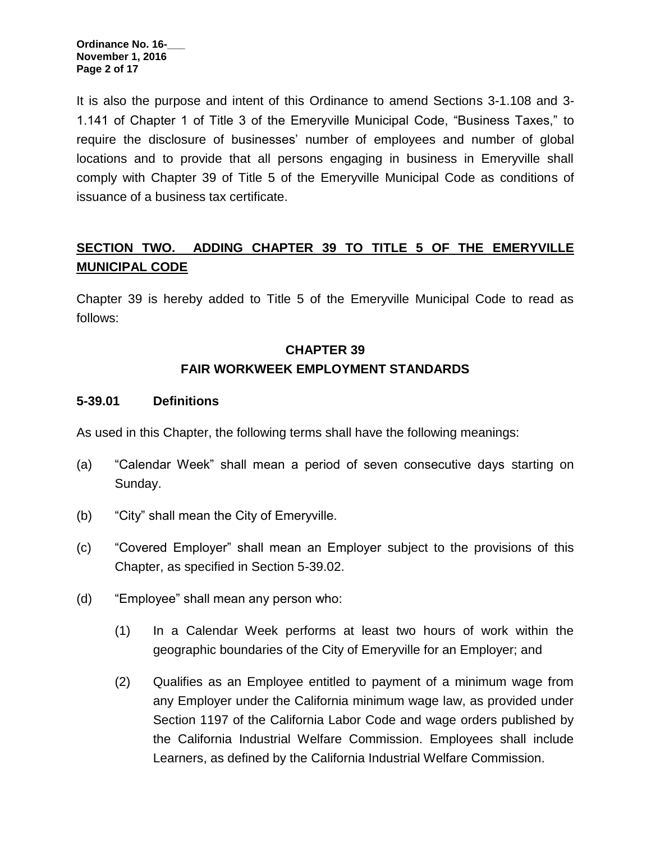It is also the purpose and intent of this Ordinance to amend Sections 3-1.108 and 3- 1.141 of Chapter 1 of Title 3 of the Emeryville Municipal Code, "Business Taxes," to require the disclosure of businesses' number of employees and number of global locations and to provide that all persons engaging in business in Emeryville shall comply with Chapter 39 of Title 5 of the Emeryville Municipal Code as conditions of issuance of a business tax certificate.

# **SECTION TWO. ADDING CHAPTER 39 TO TITLE 5 OF THE EMERYVILLE MUNICIPAL CODE**

Chapter 39 is hereby added to Title 5 of the Emeryville Municipal Code to read as follows:

# **CHAPTER 39 FAIR WORKWEEK EMPLOYMENT STANDARDS**

#### **5-39.01 Definitions**

As used in this Chapter, the following terms shall have the following meanings:

- (a) "Calendar Week" shall mean a period of seven consecutive days starting on Sunday.
- (b) "City" shall mean the City of Emeryville.
- (c) "Covered Employer" shall mean an Employer subject to the provisions of this Chapter, as specified in Section 5-39.02.
- (d) "Employee" shall mean any person who:
	- (1) In a Calendar Week performs at least two hours of work within the geographic boundaries of the City of Emeryville for an Employer; and
	- (2) Qualifies as an Employee entitled to payment of a minimum wage from any Employer under the California minimum wage law, as provided under Section [1197](http://leginfo.legislature.ca.gov/faces/codes_displaySection.xhtml?lawCode=LAB§ionNum=1197) of the California Labor Code and wage orders published by the California Industrial Welfare Commission. Employees shall include Learners, as defined by the California Industrial Welfare Commission.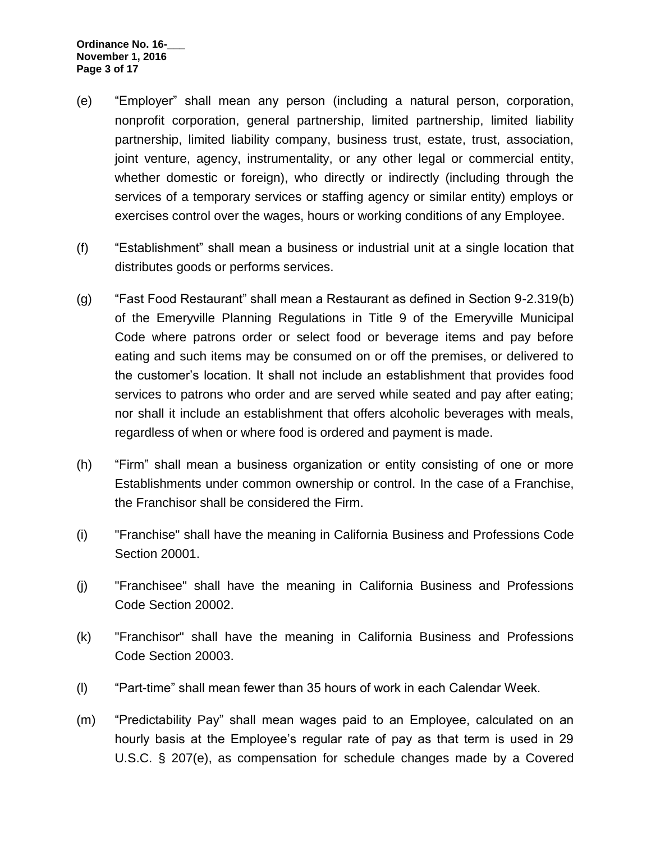**Ordinance No. 16-\_\_\_ November 1, 2016 Page 3 of 17**

- (e) "Employer" shall mean any person (including a natural person, corporation, nonprofit corporation, general partnership, limited partnership, limited liability partnership, limited liability company, business trust, estate, trust, association, joint venture, agency, instrumentality, or any other legal or commercial entity, whether domestic or foreign), who directly or indirectly (including through the services of a temporary services or staffing agency or similar entity) employs or exercises control over the wages, hours or working conditions of any Employee.
- (f) "Establishment" shall mean a business or industrial unit at a single location that distributes goods or performs services.
- (g) "Fast Food Restaurant" shall mean a Restaurant as defined in Section 9-2.319(b) of the Emeryville Planning Regulations in Title 9 of the Emeryville Municipal Code where patrons order or select food or beverage items and pay before eating and such items may be consumed on or off the premises, or delivered to the customer's location. It shall not include an establishment that provides food services to patrons who order and are served while seated and pay after eating; nor shall it include an establishment that offers alcoholic beverages with meals, regardless of when or where food is ordered and payment is made.
- (h) "Firm" shall mean a business organization or entity consisting of one or more Establishments under common ownership or control. In the case of a Franchise, the Franchisor shall be considered the Firm.
- (i) "Franchise" shall have the meaning in California Business and Professions Code Section 20001.
- (j) "Franchisee" shall have the meaning in California Business and Professions Code Section 20002.
- (k) "Franchisor" shall have the meaning in California Business and Professions Code Section 20003.
- (l) "Part-time" shall mean fewer than 35 hours of work in each Calendar Week.
- (m) "Predictability Pay" shall mean wages paid to an Employee, calculated on an hourly basis at the Employee's regular rate of pay as that term is used in 29 U.S.C. § 207(e), as compensation for schedule changes made by a Covered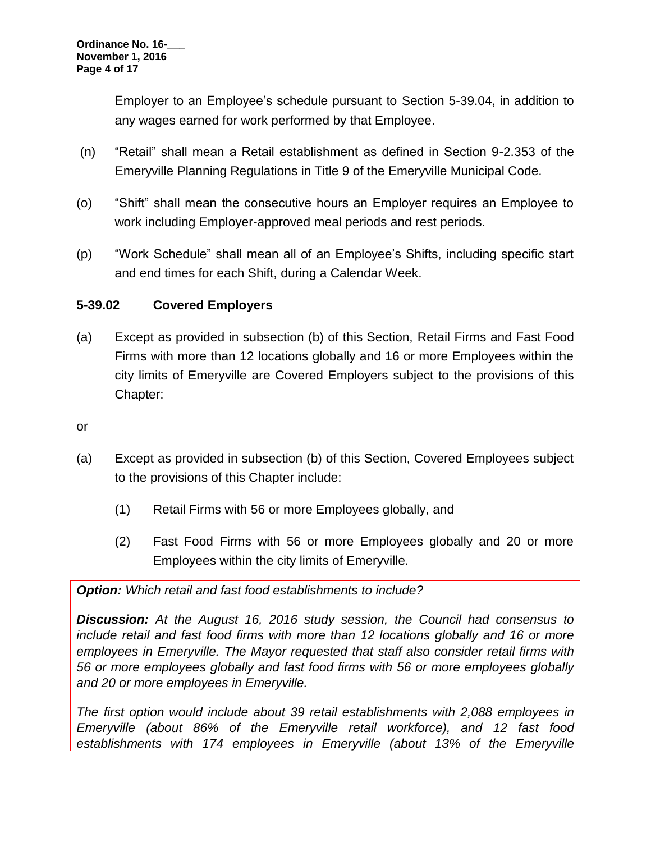Employer to an Employee's schedule pursuant to Section 5-39.04, in addition to any wages earned for work performed by that Employee.

- (n) "Retail" shall mean a Retail establishment as defined in Section 9-2.353 of the Emeryville Planning Regulations in Title 9 of the Emeryville Municipal Code.
- (o) "Shift" shall mean the consecutive hours an Employer requires an Employee to work including Employer-approved meal periods and rest periods.
- (p) "Work Schedule" shall mean all of an Employee's Shifts, including specific start and end times for each Shift, during a Calendar Week.

## **5-39.02 Covered Employers**

- (a) Except as provided in subsection (b) of this Section, Retail Firms and Fast Food Firms with more than 12 locations globally and 16 or more Employees within the city limits of Emeryville are Covered Employers subject to the provisions of this Chapter:
- or
- (a) Except as provided in subsection (b) of this Section, Covered Employees subject to the provisions of this Chapter include:
	- (1) Retail Firms with 56 or more Employees globally, and
	- (2) Fast Food Firms with 56 or more Employees globally and 20 or more Employees within the city limits of Emeryville.

*Option: Which retail and fast food establishments to include?*

*Discussion: At the August 16, 2016 study session, the Council had consensus to include retail and fast food firms with more than 12 locations globally and 16 or more employees in Emeryville. The Mayor requested that staff also consider retail firms with 56 or more employees globally and fast food firms with 56 or more employees globally and 20 or more employees in Emeryville.*

*The first option would include about 39 retail establishments with 2,088 employees in Emeryville (about 86% of the Emeryville retail workforce), and 12 fast food establishments with 174 employees in Emeryville (about 13% of the Emeryville*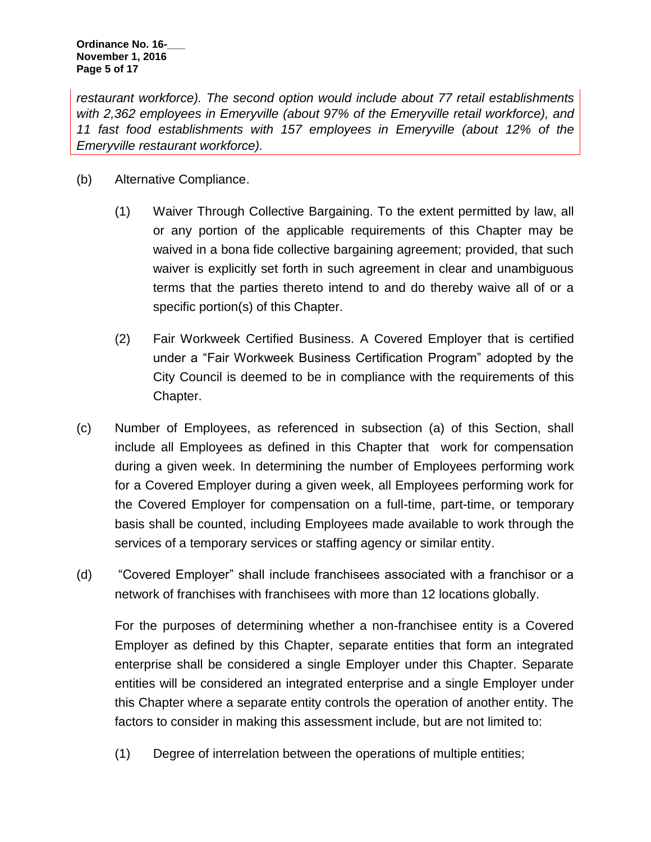**Ordinance No. 16-\_\_\_ November 1, 2016 Page 5 of 17**

*restaurant workforce). The second option would include about 77 retail establishments with 2,362 employees in Emeryville (about 97% of the Emeryville retail workforce), and 11 fast food establishments with 157 employees in Emeryville (about 12% of the Emeryville restaurant workforce).*

- (b) Alternative Compliance.
	- (1) Waiver Through Collective Bargaining. To the extent permitted by law, all or any portion of the applicable requirements of this Chapter may be waived in a bona fide collective bargaining agreement; provided, that such waiver is explicitly set forth in such agreement in clear and unambiguous terms that the parties thereto intend to and do thereby waive all of or a specific portion(s) of this Chapter.
	- (2) Fair Workweek Certified Business. A Covered Employer that is certified under a "Fair Workweek Business Certification Program" adopted by the City Council is deemed to be in compliance with the requirements of this Chapter.
- (c) Number of Employees, as referenced in subsection (a) of this Section, shall include all Employees as defined in this Chapter that work for compensation during a given week. In determining the number of Employees performing work for a Covered Employer during a given week, all Employees performing work for the Covered Employer for compensation on a full-time, part-time, or temporary basis shall be counted, including Employees made available to work through the services of a temporary services or staffing agency or similar entity.
- (d) "Covered Employer" shall include franchisees associated with a franchisor or a network of franchises with franchisees with more than 12 locations globally.

For the purposes of determining whether a non-franchisee entity is a Covered Employer as defined by this Chapter, separate entities that form an integrated enterprise shall be considered a single Employer under this Chapter. Separate entities will be considered an integrated enterprise and a single Employer under this Chapter where a separate entity controls the operation of another entity. The factors to consider in making this assessment include, but are not limited to:

(1) Degree of interrelation between the operations of multiple entities;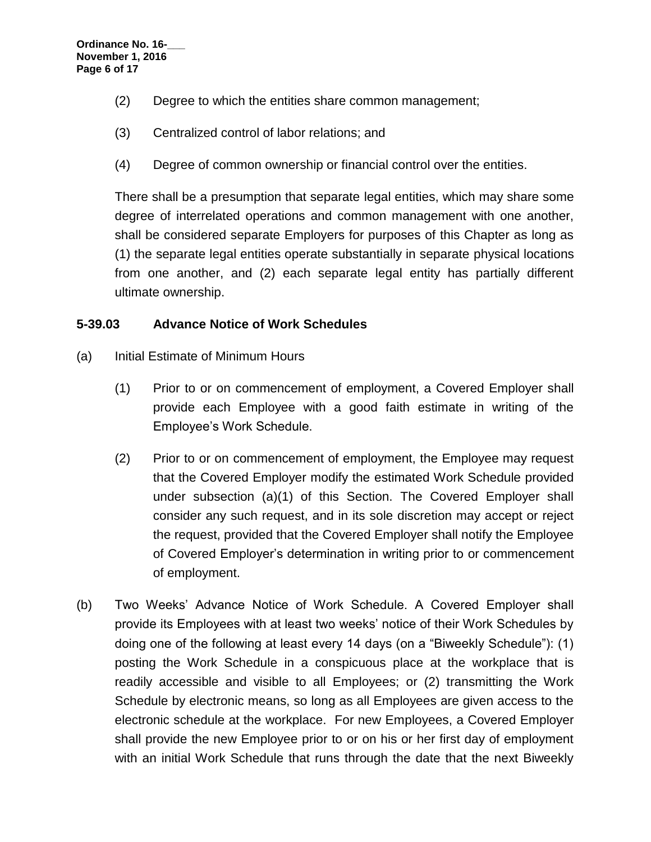- (2) Degree to which the entities share common management;
- (3) Centralized control of labor relations; and
- (4) Degree of common ownership or financial control over the entities.

There shall be a presumption that separate legal entities, which may share some degree of interrelated operations and common management with one another, shall be considered separate Employers for purposes of this Chapter as long as (1) the separate legal entities operate substantially in separate physical locations from one another, and (2) each separate legal entity has partially different ultimate ownership.

#### **5-39.03 Advance Notice of Work Schedules**

- (a) Initial Estimate of Minimum Hours
	- (1) Prior to or on commencement of employment, a Covered Employer shall provide each Employee with a good faith estimate in writing of the Employee's Work Schedule.
	- (2) Prior to or on commencement of employment, the Employee may request that the Covered Employer modify the estimated Work Schedule provided under subsection (a)(1) of this Section. The Covered Employer shall consider any such request, and in its sole discretion may accept or reject the request, provided that the Covered Employer shall notify the Employee of Covered Employer's determination in writing prior to or commencement of employment.
- (b) Two Weeks' Advance Notice of Work Schedule. A Covered Employer shall provide its Employees with at least two weeks' notice of their Work Schedules by doing one of the following at least every 14 days (on a "Biweekly Schedule"): (1) posting the Work Schedule in a conspicuous place at the workplace that is readily accessible and visible to all Employees; or (2) transmitting the Work Schedule by electronic means, so long as all Employees are given access to the electronic schedule at the workplace. For new Employees, a Covered Employer shall provide the new Employee prior to or on his or her first day of employment with an initial Work Schedule that runs through the date that the next Biweekly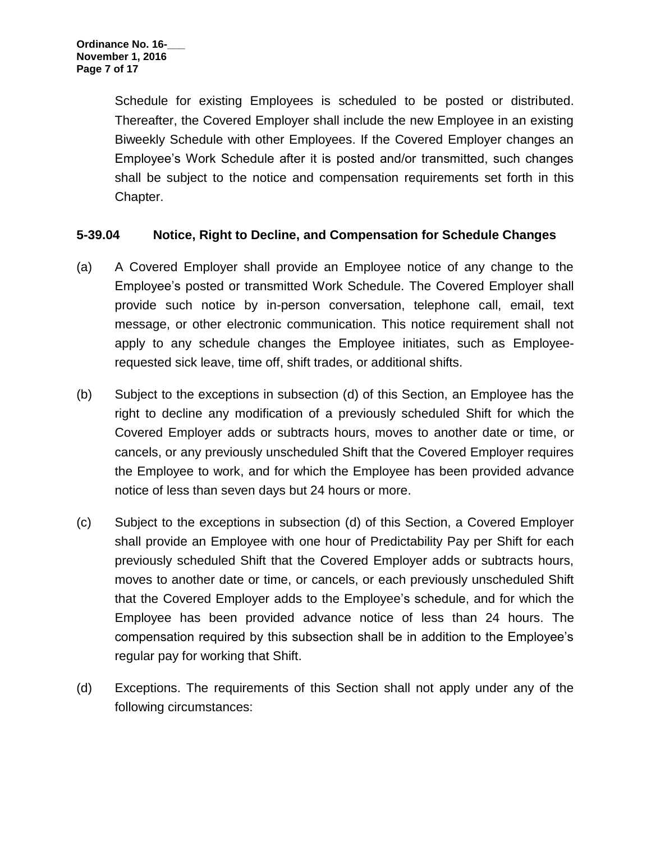Schedule for existing Employees is scheduled to be posted or distributed. Thereafter, the Covered Employer shall include the new Employee in an existing Biweekly Schedule with other Employees. If the Covered Employer changes an Employee's Work Schedule after it is posted and/or transmitted, such changes shall be subject to the notice and compensation requirements set forth in this Chapter.

## **5-39.04 Notice, Right to Decline, and Compensation for Schedule Changes**

- (a) A Covered Employer shall provide an Employee notice of any change to the Employee's posted or transmitted Work Schedule. The Covered Employer shall provide such notice by in-person conversation, telephone call, email, text message, or other electronic communication. This notice requirement shall not apply to any schedule changes the Employee initiates, such as Employeerequested sick leave, time off, shift trades, or additional shifts.
- (b) Subject to the exceptions in subsection (d) of this Section, an Employee has the right to decline any modification of a previously scheduled Shift for which the Covered Employer adds or subtracts hours, moves to another date or time, or cancels, or any previously unscheduled Shift that the Covered Employer requires the Employee to work, and for which the Employee has been provided advance notice of less than seven days but 24 hours or more.
- (c) Subject to the exceptions in subsection (d) of this Section, a Covered Employer shall provide an Employee with one hour of Predictability Pay per Shift for each previously scheduled Shift that the Covered Employer adds or subtracts hours, moves to another date or time, or cancels, or each previously unscheduled Shift that the Covered Employer adds to the Employee's schedule, and for which the Employee has been provided advance notice of less than 24 hours. The compensation required by this subsection shall be in addition to the Employee's regular pay for working that Shift.
- (d) Exceptions. The requirements of this Section shall not apply under any of the following circumstances: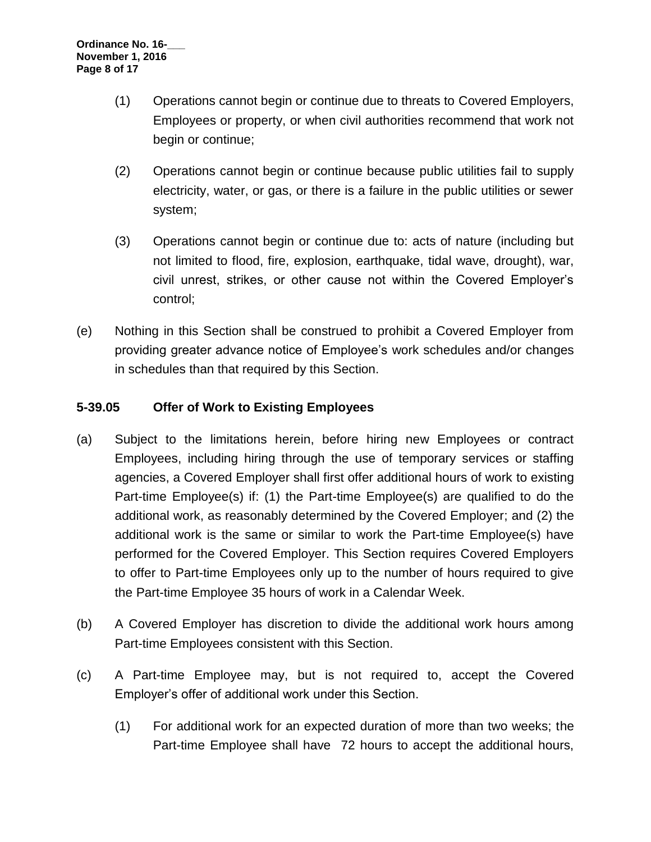- (1) Operations cannot begin or continue due to threats to Covered Employers, Employees or property, or when civil authorities recommend that work not begin or continue;
- (2) Operations cannot begin or continue because public utilities fail to supply electricity, water, or gas, or there is a failure in the public utilities or sewer system;
- (3) Operations cannot begin or continue due to: acts of nature (including but not limited to flood, fire, explosion, earthquake, tidal wave, drought), war, civil unrest, strikes, or other cause not within the Covered Employer's control;
- (e) Nothing in this Section shall be construed to prohibit a Covered Employer from providing greater advance notice of Employee's work schedules and/or changes in schedules than that required by this Section.

# **5-39.05 Offer of Work to Existing Employees**

- (a) Subject to the limitations herein, before hiring new Employees or contract Employees, including hiring through the use of temporary services or staffing agencies, a Covered Employer shall first offer additional hours of work to existing Part-time Employee(s) if: (1) the Part-time Employee(s) are qualified to do the additional work, as reasonably determined by the Covered Employer; and (2) the additional work is the same or similar to work the Part-time Employee(s) have performed for the Covered Employer. This Section requires Covered Employers to offer to Part-time Employees only up to the number of hours required to give the Part-time Employee 35 hours of work in a Calendar Week.
- (b) A Covered Employer has discretion to divide the additional work hours among Part-time Employees consistent with this Section.
- (c) A Part-time Employee may, but is not required to, accept the Covered Employer's offer of additional work under this Section.
	- (1) For additional work for an expected duration of more than two weeks; the Part-time Employee shall have 72 hours to accept the additional hours,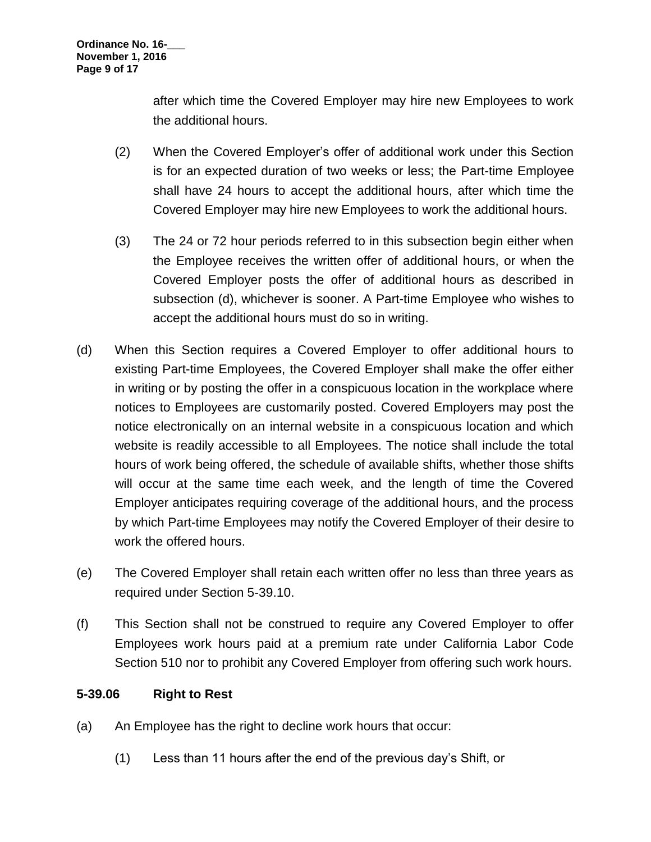after which time the Covered Employer may hire new Employees to work the additional hours.

- (2) When the Covered Employer's offer of additional work under this Section is for an expected duration of two weeks or less; the Part-time Employee shall have 24 hours to accept the additional hours, after which time the Covered Employer may hire new Employees to work the additional hours.
- (3) The 24 or 72 hour periods referred to in this subsection begin either when the Employee receives the written offer of additional hours, or when the Covered Employer posts the offer of additional hours as described in subsection (d), whichever is sooner. A Part-time Employee who wishes to accept the additional hours must do so in writing.
- (d) When this Section requires a Covered Employer to offer additional hours to existing Part-time Employees, the Covered Employer shall make the offer either in writing or by posting the offer in a conspicuous location in the workplace where notices to Employees are customarily posted. Covered Employers may post the notice electronically on an internal website in a conspicuous location and which website is readily accessible to all Employees. The notice shall include the total hours of work being offered, the schedule of available shifts, whether those shifts will occur at the same time each week, and the length of time the Covered Employer anticipates requiring coverage of the additional hours, and the process by which Part-time Employees may notify the Covered Employer of their desire to work the offered hours.
- (e) The Covered Employer shall retain each written offer no less than three years as required under Section 5-39.10.
- (f) This Section shall not be construed to require any Covered Employer to offer Employees work hours paid at a premium rate under California Labor Code Section 510 nor to prohibit any Covered Employer from offering such work hours.

## **5-39.06 Right to Rest**

- (a) An Employee has the right to decline work hours that occur:
	- (1) Less than 11 hours after the end of the previous day's Shift, or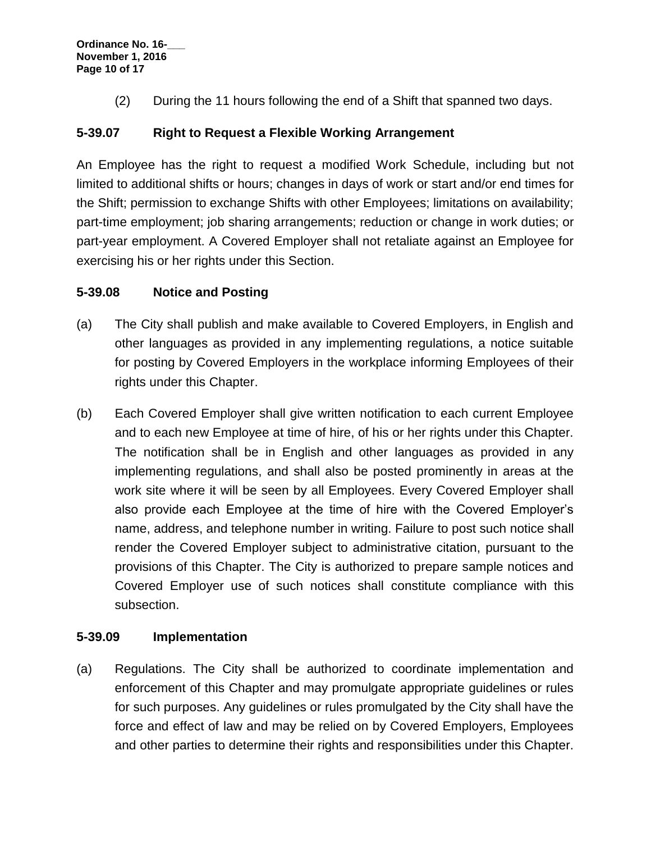(2) During the 11 hours following the end of a Shift that spanned two days.

## **5-39.07 Right to Request a Flexible Working Arrangement**

An Employee has the right to request a modified Work Schedule, including but not limited to additional shifts or hours; changes in days of work or start and/or end times for the Shift; permission to exchange Shifts with other Employees; limitations on availability; part-time employment; job sharing arrangements; reduction or change in work duties; or part-year employment. A Covered Employer shall not retaliate against an Employee for exercising his or her rights under this Section.

## **5-39.08 Notice and Posting**

- (a) The City shall publish and make available to Covered Employers, in English and other languages as provided in any implementing regulations, a notice suitable for posting by Covered Employers in the workplace informing Employees of their rights under this Chapter.
- (b) Each Covered Employer shall give written notification to each current Employee and to each new Employee at time of hire, of his or her rights under this Chapter. The notification shall be in English and other languages as provided in any implementing regulations, and shall also be posted prominently in areas at the work site where it will be seen by all Employees. Every Covered Employer shall also provide each Employee at the time of hire with the Covered Employer's name, address, and telephone number in writing. Failure to post such notice shall render the Covered Employer subject to administrative citation, pursuant to the provisions of this Chapter. The City is authorized to prepare sample notices and Covered Employer use of such notices shall constitute compliance with this subsection.

## **5-39.09 Implementation**

(a) Regulations. The City shall be authorized to coordinate implementation and enforcement of this Chapter and may promulgate appropriate guidelines or rules for such purposes. Any guidelines or rules promulgated by the City shall have the force and effect of law and may be relied on by Covered Employers, Employees and other parties to determine their rights and responsibilities under this Chapter.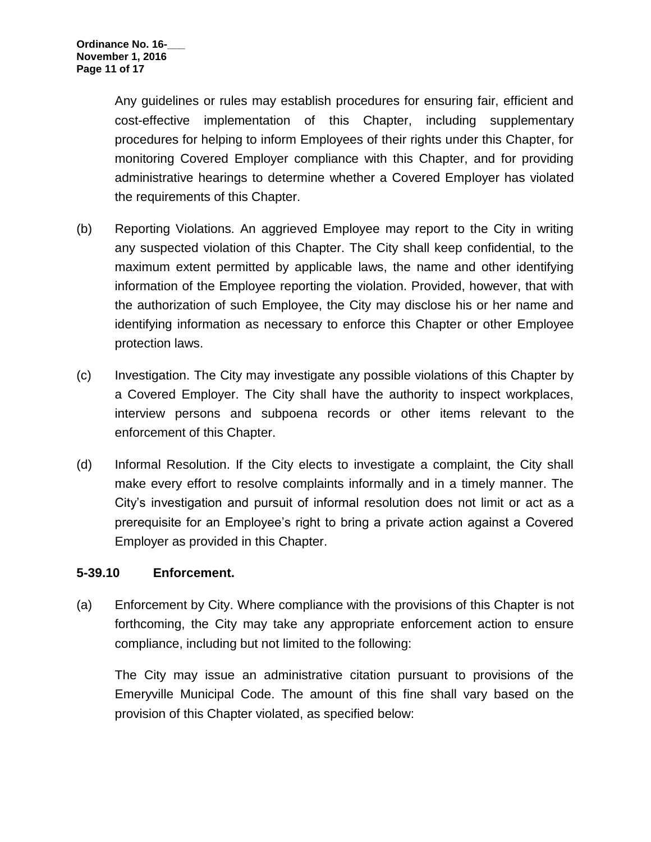Any guidelines or rules may establish procedures for ensuring fair, efficient and cost-effective implementation of this Chapter, including supplementary procedures for helping to inform Employees of their rights under this Chapter, for monitoring Covered Employer compliance with this Chapter, and for providing administrative hearings to determine whether a Covered Employer has violated the requirements of this Chapter.

- (b) Reporting Violations. An aggrieved Employee may report to the City in writing any suspected violation of this Chapter. The City shall keep confidential, to the maximum extent permitted by applicable laws, the name and other identifying information of the Employee reporting the violation. Provided, however, that with the authorization of such Employee, the City may disclose his or her name and identifying information as necessary to enforce this Chapter or other Employee protection laws.
- (c) Investigation. The City may investigate any possible violations of this Chapter by a Covered Employer. The City shall have the authority to inspect workplaces, interview persons and subpoena records or other items relevant to the enforcement of this Chapter.
- (d) Informal Resolution. If the City elects to investigate a complaint, the City shall make every effort to resolve complaints informally and in a timely manner. The City's investigation and pursuit of informal resolution does not limit or act as a prerequisite for an Employee's right to bring a private action against a Covered Employer as provided in this Chapter.

#### **5-39.10 Enforcement.**

(a) Enforcement by City. Where compliance with the provisions of this Chapter is not forthcoming, the City may take any appropriate enforcement action to ensure compliance, including but not limited to the following:

The City may issue an administrative citation pursuant to provisions of the Emeryville Municipal Code. The amount of this fine shall vary based on the provision of this Chapter violated, as specified below: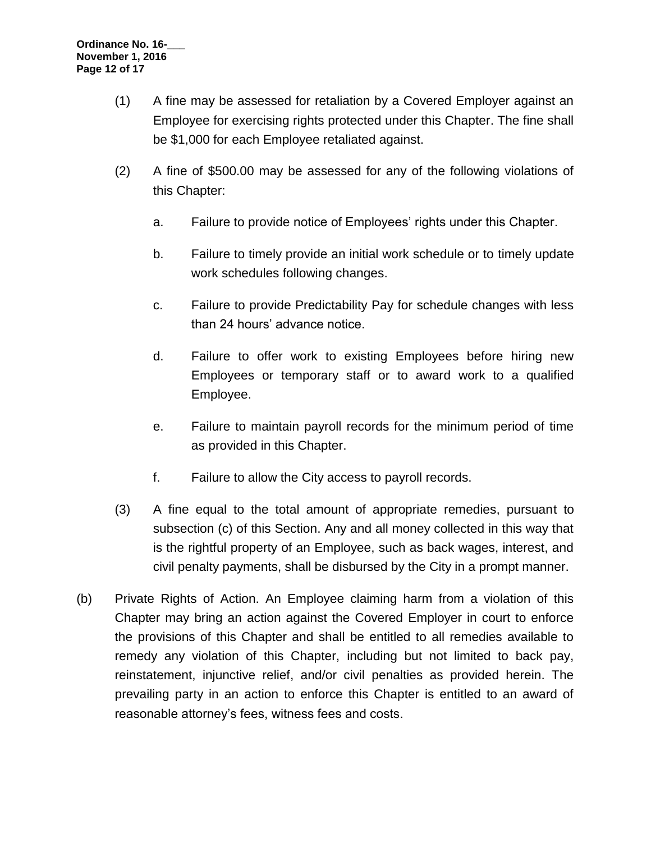- (1) A fine may be assessed for retaliation by a Covered Employer against an Employee for exercising rights protected under this Chapter. The fine shall be \$1,000 for each Employee retaliated against.
- (2) A fine of \$500.00 may be assessed for any of the following violations of this Chapter:
	- a. Failure to provide notice of Employees' rights under this Chapter.
	- b. Failure to timely provide an initial work schedule or to timely update work schedules following changes.
	- c. Failure to provide Predictability Pay for schedule changes with less than 24 hours' advance notice.
	- d. Failure to offer work to existing Employees before hiring new Employees or temporary staff or to award work to a qualified Employee.
	- e. Failure to maintain payroll records for the minimum period of time as provided in this Chapter.
	- f. Failure to allow the City access to payroll records.
- (3) A fine equal to the total amount of appropriate remedies, pursuant to subsection (c) of this Section. Any and all money collected in this way that is the rightful property of an Employee, such as back wages, interest, and civil penalty payments, shall be disbursed by the City in a prompt manner.
- (b) Private Rights of Action. An Employee claiming harm from a violation of this Chapter may bring an action against the Covered Employer in court to enforce the provisions of this Chapter and shall be entitled to all remedies available to remedy any violation of this Chapter, including but not limited to back pay, reinstatement, injunctive relief, and/or civil penalties as provided herein. The prevailing party in an action to enforce this Chapter is entitled to an award of reasonable attorney's fees, witness fees and costs.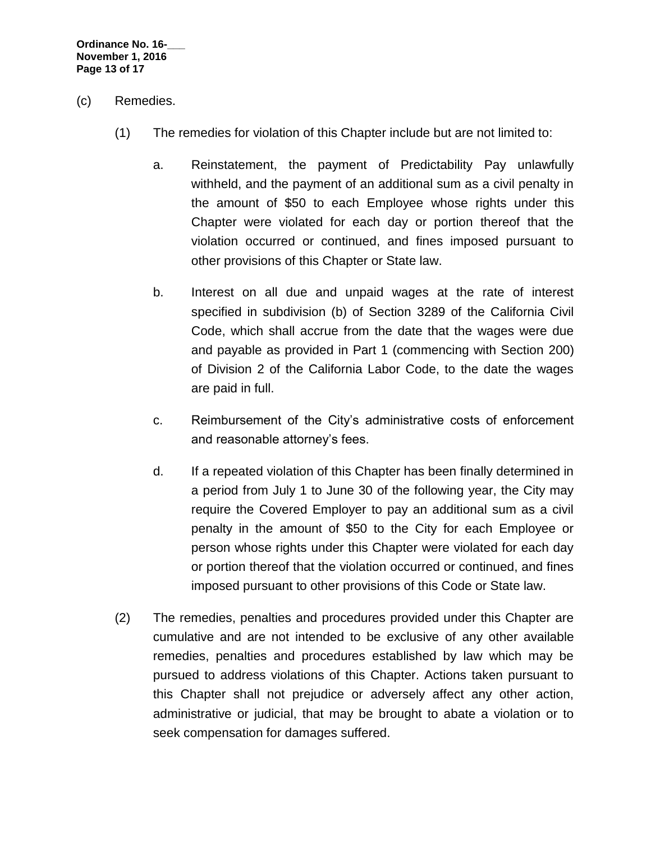**Ordinance No. 16-\_\_\_ November 1, 2016 Page 13 of 17**

- (c) Remedies.
	- (1) The remedies for violation of this Chapter include but are not limited to:
		- a. Reinstatement, the payment of Predictability Pay unlawfully withheld, and the payment of an additional sum as a civil penalty in the amount of \$50 to each Employee whose rights under this Chapter were violated for each day or portion thereof that the violation occurred or continued, and fines imposed pursuant to other provisions of this Chapter or State law.
		- b. Interest on all due and unpaid wages at the rate of interest specified in subdivision (b) of Section [3289](http://leginfo.legislature.ca.gov/faces/codes_displaySection.xhtml?lawCode=CIV§ionNum=3289) of the California Civil Code, which shall accrue from the date that the wages were due and payable as provided in Part 1 (commencing with Section [200\)](http://leginfo.legislature.ca.gov/faces/codes_displaySection.xhtml?lawCode=LAB§ionNum=200) of Division 2 of the California Labor Code, to the date the wages are paid in full.
		- c. Reimbursement of the City's administrative costs of enforcement and reasonable attorney's fees.
		- d. If a repeated violation of this Chapter has been finally determined in a period from July 1 to June 30 of the following year, the City may require the Covered Employer to pay an additional sum as a civil penalty in the amount of \$50 to the City for each Employee or person whose rights under this Chapter were violated for each day or portion thereof that the violation occurred or continued, and fines imposed pursuant to other provisions of this Code or State law.
	- (2) The remedies, penalties and procedures provided under this Chapter are cumulative and are not intended to be exclusive of any other available remedies, penalties and procedures established by law which may be pursued to address violations of this Chapter. Actions taken pursuant to this Chapter shall not prejudice or adversely affect any other action, administrative or judicial, that may be brought to abate a violation or to seek compensation for damages suffered.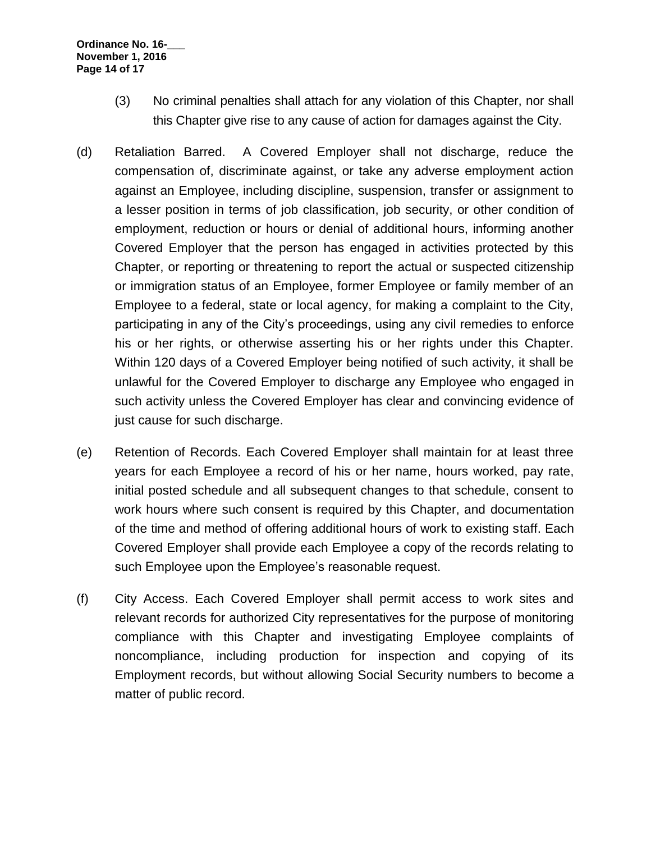- (3) No criminal penalties shall attach for any violation of this Chapter, nor shall this Chapter give rise to any cause of action for damages against the City.
- (d) Retaliation Barred. A Covered Employer shall not discharge, reduce the compensation of, discriminate against, or take any adverse employment action against an Employee, including discipline, suspension, transfer or assignment to a lesser position in terms of job classification, job security, or other condition of employment, reduction or hours or denial of additional hours, informing another Covered Employer that the person has engaged in activities protected by this Chapter, or reporting or threatening to report the actual or suspected citizenship or immigration status of an Employee, former Employee or family member of an Employee to a federal, state or local agency, for making a complaint to the City, participating in any of the City's proceedings, using any civil remedies to enforce his or her rights, or otherwise asserting his or her rights under this Chapter. Within 120 days of a Covered Employer being notified of such activity, it shall be unlawful for the Covered Employer to discharge any Employee who engaged in such activity unless the Covered Employer has clear and convincing evidence of just cause for such discharge.
- (e) Retention of Records. Each Covered Employer shall maintain for at least three years for each Employee a record of his or her name, hours worked, pay rate, initial posted schedule and all subsequent changes to that schedule, consent to work hours where such consent is required by this Chapter, and documentation of the time and method of offering additional hours of work to existing staff. Each Covered Employer shall provide each Employee a copy of the records relating to such Employee upon the Employee's reasonable request.
- (f) City Access. Each Covered Employer shall permit access to work sites and relevant records for authorized City representatives for the purpose of monitoring compliance with this Chapter and investigating Employee complaints of noncompliance, including production for inspection and copying of its Employment records, but without allowing Social Security numbers to become a matter of public record.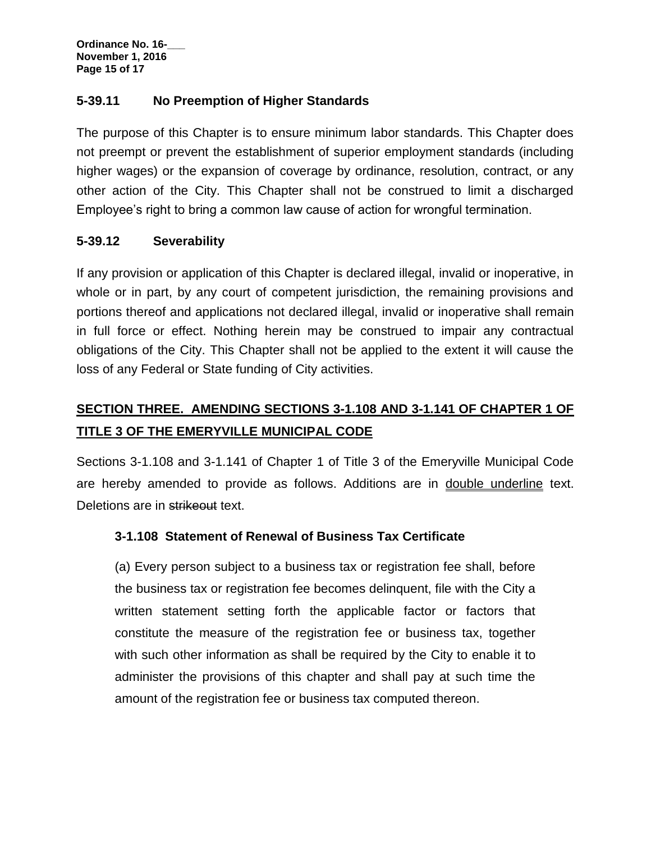**Ordinance No. 16-\_\_\_ November 1, 2016 Page 15 of 17**

## **5-39.11 No Preemption of Higher Standards**

The purpose of this Chapter is to ensure minimum labor standards. This Chapter does not preempt or prevent the establishment of superior employment standards (including higher wages) or the expansion of coverage by ordinance, resolution, contract, or any other action of the City. This Chapter shall not be construed to limit a discharged Employee's right to bring a common law cause of action for wrongful termination.

## **5-39.12 Severability**

If any provision or application of this Chapter is declared illegal, invalid or inoperative, in whole or in part, by any court of competent jurisdiction, the remaining provisions and portions thereof and applications not declared illegal, invalid or inoperative shall remain in full force or effect. Nothing herein may be construed to impair any contractual obligations of the City. This Chapter shall not be applied to the extent it will cause the loss of any Federal or State funding of City activities.

# **SECTION THREE. AMENDING SECTIONS 3-1.108 AND 3-1.141 OF CHAPTER 1 OF TITLE 3 OF THE EMERYVILLE MUNICIPAL CODE**

Sections 3-1.108 and 3-1.141 of Chapter 1 of Title 3 of the Emeryville Municipal Code are hereby amended to provide as follows. Additions are in double underline text. Deletions are in strikeout text.

## **3-1.108 Statement of Renewal of Business Tax Certificate**

(a) Every person subject to a business tax or registration fee shall, before the business tax or registration fee becomes delinquent, file with the City a written statement setting forth the applicable factor or factors that constitute the measure of the registration fee or business tax, together with such other information as shall be required by the City to enable it to administer the provisions of this chapter and shall pay at such time the amount of the registration fee or business tax computed thereon.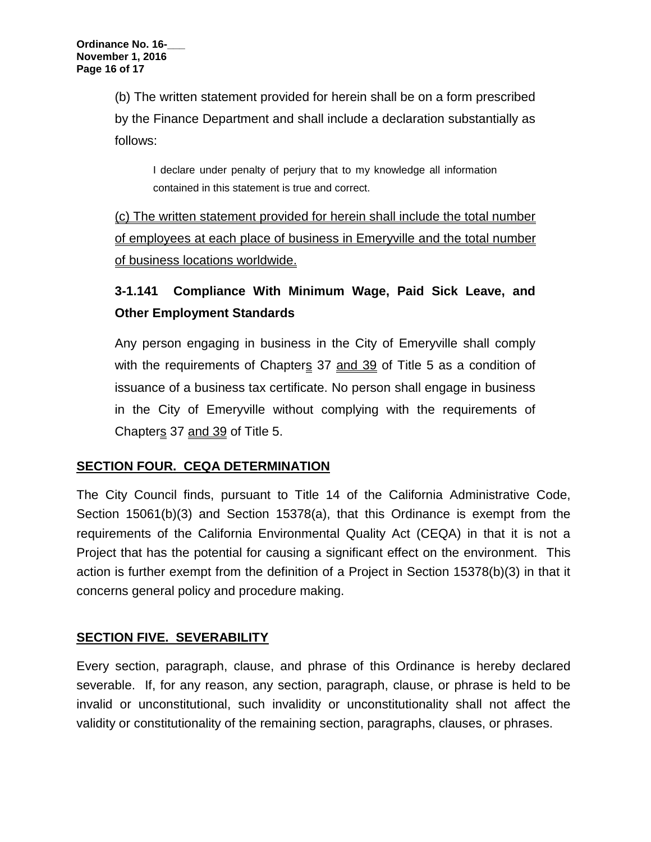(b) The written statement provided for herein shall be on a form prescribed by the Finance Department and shall include a declaration substantially as follows:

I declare under penalty of perjury that to my knowledge all information contained in this statement is true and correct.

(c) The written statement provided for herein shall include the total number of employees at each place of business in Emeryville and the total number of business locations worldwide.

# **3-1.141 Compliance With Minimum Wage, Paid Sick Leave, and Other Employment Standards**

Any person engaging in business in the City of Emeryville shall comply with the requirements of Chapters 37 and 39 of Title 5 as a condition of issuance of a business tax certificate. No person shall engage in business in the City of Emeryville without complying with the requirements of Chapters 37 and 39 of Title 5.

## **SECTION FOUR. CEQA DETERMINATION**

The City Council finds, pursuant to Title 14 of the California Administrative Code, Section 15061(b)(3) and Section 15378(a), that this Ordinance is exempt from the requirements of the California Environmental Quality Act (CEQA) in that it is not a Project that has the potential for causing a significant effect on the environment. This action is further exempt from the definition of a Project in Section 15378(b)(3) in that it concerns general policy and procedure making.

## **SECTION FIVE. SEVERABILITY**

Every section, paragraph, clause, and phrase of this Ordinance is hereby declared severable. If, for any reason, any section, paragraph, clause, or phrase is held to be invalid or unconstitutional, such invalidity or unconstitutionality shall not affect the validity or constitutionality of the remaining section, paragraphs, clauses, or phrases.